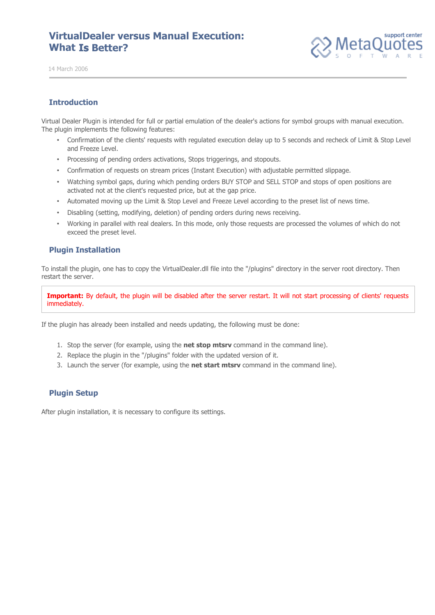# **VirtualDealer versus Manual Execution: What Is Better?**



14 March 2006

### **Introduction**

Virtual Dealer Plugin is intended for full or partial emulation of the dealer's actions for symbol groups with manual execution. The plugin implements the following features:

- Confirmation of the clients' requests with regulated execution delay up to 5 seconds and recheck of Limit & Stop Level and Freeze Level.
- Processing of pending orders activations, Stops triggerings, and stopouts.
- Confirmation of requests on stream prices (Instant Execution) with adjustable permitted slippage.
- Watching symbol gaps, during which pending orders BUY STOP and SELL STOP and stops of open positions are activated not at the client's requested price, but at the gap price.
- Automated moving up the Limit & Stop Level and Freeze Level according to the preset list of news time.
- Disabling (setting, modifying, deletion) of pending orders during news receiving.
- Working in parallel with real dealers. In this mode, only those requests are processed the volumes of which do not exceed the preset level.

#### **Plugin Installation**

To install the plugin, one has to copy the VirtualDealer.dll file into the "/plugins" directory in the server root directory. Then restart the server.

Important: By default, the plugin will be disabled after the server restart. It will not start processing of clients' requests immediately.

If the plugin has already been installed and needs updating, the following must be done:

- 1. Stop the server (for example, using the **net stop mtsrv** command in the command line).
- 2. Replace the plugin in the "/plugins" folder with the updated version of it.
- 3. Launch the server (for example, using the **net start mtsrv** command in the command line).

### **Plugin Setup**

After plugin installation, it is necessary to configure its settings.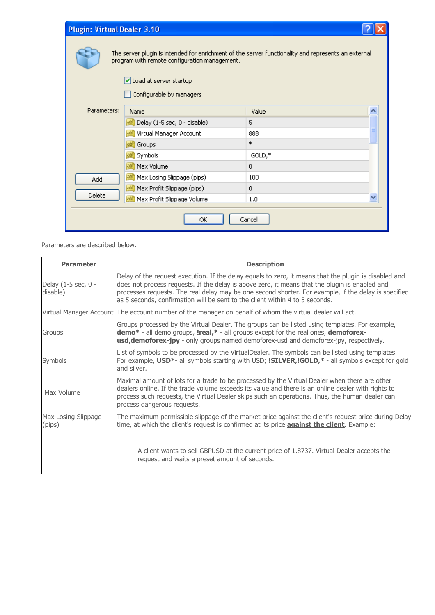| <b>Plugin: Virtual Dealer 3.10</b>                                                                                                                   |                                 |                |  |  |
|------------------------------------------------------------------------------------------------------------------------------------------------------|---------------------------------|----------------|--|--|
| The server plugin is intended for enrichment of the server functionality and represents an external<br>program with remote configuration management. |                                 |                |  |  |
|                                                                                                                                                      | Load at server startup          |                |  |  |
|                                                                                                                                                      | Configurable by managers        |                |  |  |
| Parameters:                                                                                                                                          | Name                            | Value          |  |  |
|                                                                                                                                                      | ab Delay (1-5 sec, 0 - disable) | 5              |  |  |
|                                                                                                                                                      | ab Virtual Manager Account      | 888            |  |  |
| ab Groups                                                                                                                                            |                                 | $\ast$         |  |  |
| ab Symbols                                                                                                                                           |                                 | !GOLD,*        |  |  |
| ab Max Volume                                                                                                                                        |                                 | $\overline{0}$ |  |  |
| ab Max Losing Slippage (pips)<br>Add                                                                                                                 |                                 | 100            |  |  |
| ab Max Profit Slippage (pips)                                                                                                                        |                                 | $\overline{0}$ |  |  |
| Delete<br>ab Max Profit Slippage Volume                                                                                                              |                                 | 1.0            |  |  |
| Cancel<br>ОК                                                                                                                                         |                                 |                |  |  |

Parameters are described below.

| <b>Parameter</b>                | <b>Description</b>                                                                                                                                                                                                                                                                                                                                                                              |  |  |  |
|---------------------------------|-------------------------------------------------------------------------------------------------------------------------------------------------------------------------------------------------------------------------------------------------------------------------------------------------------------------------------------------------------------------------------------------------|--|--|--|
| Delay (1-5 sec, 0 -<br>disable) | Delay of the request execution. If the delay equals to zero, it means that the plugin is disabled and<br>does not process requests. If the delay is above zero, it means that the plugin is enabled and<br>processes requests. The real delay may be one second shorter. For example, if the delay is specified<br>as 5 seconds, confirmation will be sent to the client within 4 to 5 seconds. |  |  |  |
| Virtual Manager Account         | The account number of the manager on behalf of whom the virtual dealer will act.                                                                                                                                                                                                                                                                                                                |  |  |  |
| Groups                          | Groups processed by the Virtual Dealer. The groups can be listed using templates. For example,<br>demo* - all demo groups, Ireal,* - all groups except for the real ones, demoforex-<br><b>usd, demoforex-jpy</b> - only groups named demoforex-usd and demoforex-jpy, respectively.                                                                                                            |  |  |  |
| Symbols                         | List of symbols to be processed by the VirtualDealer. The symbols can be listed using templates.<br>For example, USD*- all symbols starting with USD; ISILVER, IGOLD,* - all symbols except for gold<br>and silver.                                                                                                                                                                             |  |  |  |
| Max Volume                      | Maximal amount of lots for a trade to be processed by the Virtual Dealer when there are other<br>dealers online. If the trade volume exceeds its value and there is an online dealer with rights to<br>process such requests, the Virtual Dealer skips such an operations. Thus, the human dealer can<br>process dangerous requests.                                                            |  |  |  |
| Max Losing Slippage<br>(pips)   | The maximum permissible slippage of the market price against the client's request price during Delay<br>time, at which the client's request is confirmed at its price <b>against the client</b> . Example:                                                                                                                                                                                      |  |  |  |
|                                 | A client wants to sell GBPUSD at the current price of 1.8737. Virtual Dealer accepts the<br>request and waits a preset amount of seconds.                                                                                                                                                                                                                                                       |  |  |  |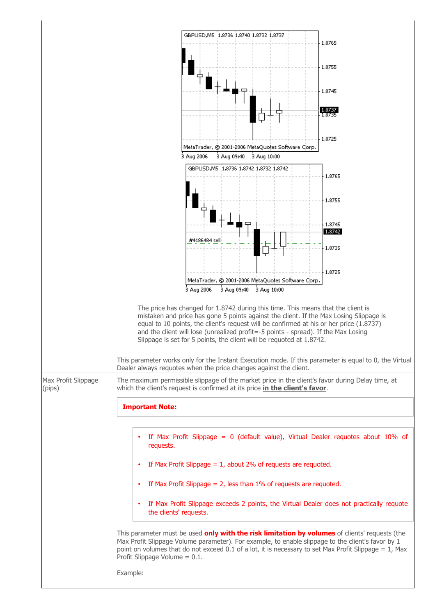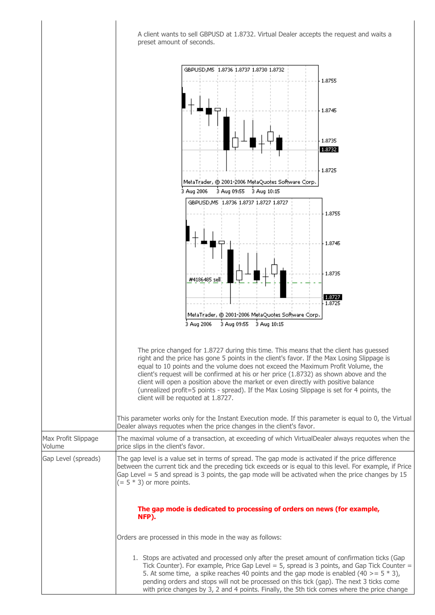A client wants to sell GBPUSD at 1.8732. Virtual Dealer accepts the request and waits a preset amount of seconds.

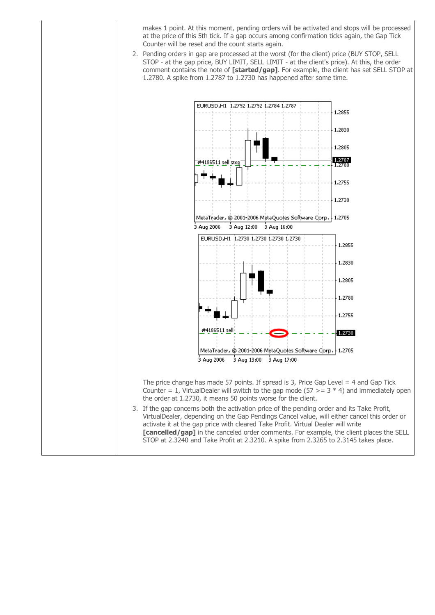makes 1 point. At this moment, pending orders will be activated and stops will be processed at the price of this 5th tick. If a gap occurs among confirmation ticks again, the Gap Tick Counter will be reset and the count starts again.

2. Pending orders in gap are processed at the worst (for the client) price (BUY STOP, SELL STOP - at the gap price, BUY LIMIT, SELL LIMIT - at the client's price). At this, the order comment contains the note of **[started/gap]**. For example, the client has set SELL STOP at 1.2780. A spike from 1.2787 to 1.2730 has happened after some time.

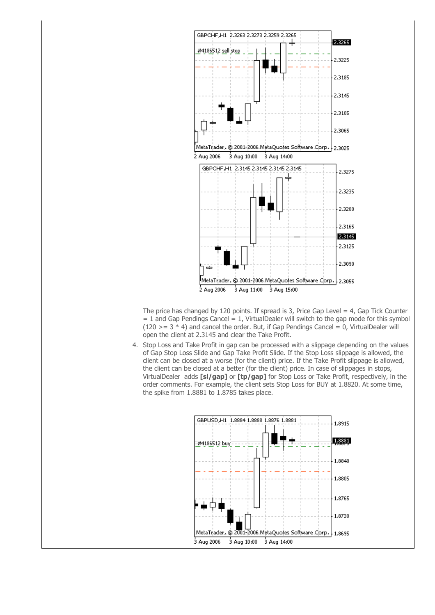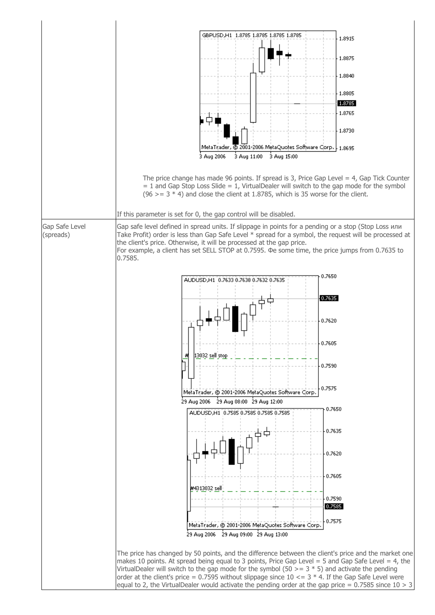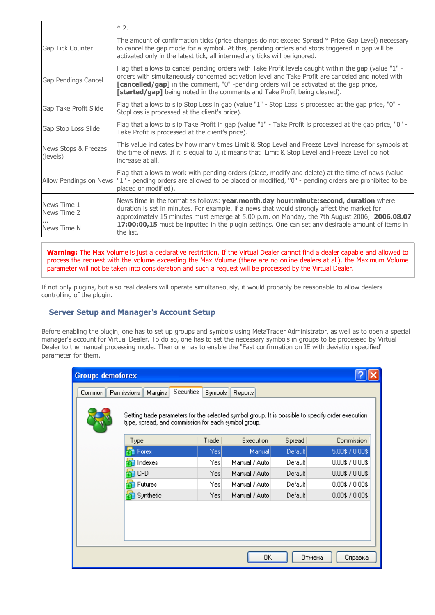|                                           | $*2.$                                                                                                                                                                                                                                                                                                                                                                                                   |
|-------------------------------------------|---------------------------------------------------------------------------------------------------------------------------------------------------------------------------------------------------------------------------------------------------------------------------------------------------------------------------------------------------------------------------------------------------------|
| Gap Tick Counter                          | The amount of confirmation ticks (price changes do not exceed Spread * Price Gap Level) necessary<br>to cancel the gap mode for a symbol. At this, pending orders and stops triggered in gap will be<br>activated only in the latest tick, all intermediary ticks will be ignored.                                                                                                                      |
| Gap Pendings Cancel                       | Flag that allows to cancel pending orders with Take Profit levels caught within the gap (value "1" -<br>orders with simultaneously concerned activation level and Take Profit are canceled and noted with<br>[cancelled/gap] in the comment, "0" -pending orders will be activated at the gap price,<br><b>[started/gap]</b> being noted in the comments and Take Profit being cleared).                |
| Gap Take Profit Slide                     | Flag that allows to slip Stop Loss in gap (value "1" - Stop Loss is processed at the gap price, "0" -<br>StopLoss is processed at the client's price).                                                                                                                                                                                                                                                  |
| Gap Stop Loss Slide                       | Flag that allows to slip Take Profit in gap (value "1" - Take Profit is processed at the gap price, "0" -<br>Take Profit is processed at the client's price).                                                                                                                                                                                                                                           |
| News Stops & Freezes<br>(levels)          | This value indicates by how many times Limit & Stop Level and Freeze Level increase for symbols at<br>the time of news. If it is equal to 0, it means that Limit & Stop Level and Freeze Level do not<br>lincrease at all.                                                                                                                                                                              |
| Allow Pendings on News                    | Flag that allows to work with pending orders (place, modify and delete) at the time of news (value<br>"1" - pending orders are allowed to be placed or modified, "0" - pending orders are prohibited to be<br>placed or modified).                                                                                                                                                                      |
| News Time 1<br>News Time 2<br>News Time N | News time in the format as follows: year.month.day hour:minute:second, duration where<br>duration is set in minutes. For example, if a news that would strongly affect the market for<br>approximately 15 minutes must emerge at 5.00 p.m. on Monday, the 7th August 2006, 2006.08.07<br>17:00:00,15 must be inputted in the plugin settings. One can set any desirable amount of items in<br>the list. |

**Warning:** The Max Volume is just a declarative restriction. If the Virtual Dealer cannot find a dealer capable and allowed to process the request with the volume exceeding the Max Volume (there are no online dealers at all), the Maximum Volume parameter will not be taken into consideration and such a request will be processed by the Virtual Dealer.

If not only plugins, but also real dealers will operate simultaneously, it would probably be reasonable to allow dealers controlling of the plugin.

### **Server Setup and Manager's Account Setup**

Before enabling the plugin, one has to set up groups and symbols using MetaTrader Administrator, as well as to open a special manager's account for Virtual Dealer. To do so, one has to set the necessary symbols in groups to be processed by Virtual Dealer to the manual processing mode. Then one has to enable the "Fast confirmation on IE with deviation specified" parameter for them.

| Group: demoforex                                                                                                                                                                                                                        |            |       |                |         |                       |
|-----------------------------------------------------------------------------------------------------------------------------------------------------------------------------------------------------------------------------------------|------------|-------|----------------|---------|-----------------------|
| <b>Securities</b><br>Permissions<br>Symbols<br>Margins<br>Reports<br>Common<br>Setting trade parameters for the selected symbol group. It is possible to specify order execution<br>type, spread, and commission for each symbol group. |            |       |                |         |                       |
|                                                                                                                                                                                                                                         | Type       | Trade | Execution      | Spread  | Commission            |
|                                                                                                                                                                                                                                         | Forex      | Yes   | Manual         | Default | 5.00\$ / 0.00\$       |
|                                                                                                                                                                                                                                         | Indexes    | Yesl  | Manual / Auto  | Default | $0.00$ \$ $/ 0.00$ \$ |
|                                                                                                                                                                                                                                         | <b>CFD</b> | Yesl  | Manual / Autol | Default | $0.00$ \$ / $0.00$ \$ |
|                                                                                                                                                                                                                                         | Futures    | Yesl  | Manual / Auto  | Default | $0.00$ \$ $/ 0.00$ \$ |
|                                                                                                                                                                                                                                         | Synthetic  | Yesl  | Manual / Autol | Default | $0.00$ \$ $/ 0.00$ \$ |
|                                                                                                                                                                                                                                         |            |       | OΚ             | Отмена  | Справка               |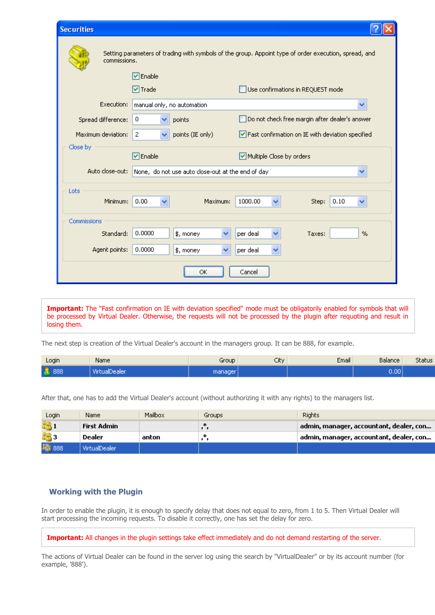| <b>Securities</b>                                                                                                     |                            |                                                    |  |  |  |
|-----------------------------------------------------------------------------------------------------------------------|----------------------------|----------------------------------------------------|--|--|--|
| Setting parameters of trading with symbols of the group. Appoint type of order execution, spread, and<br>commissions. |                            |                                                    |  |  |  |
|                                                                                                                       | $\nabla$ Enable            |                                                    |  |  |  |
|                                                                                                                       | $\nabla$ Trade             | Use confirmations in REQUEST mode                  |  |  |  |
| Execution:                                                                                                            | manual only, no automation | ₩                                                  |  |  |  |
| Spread difference:                                                                                                    | 0<br>points                | Do not check free margin after dealer's answer     |  |  |  |
| Maximum deviation:<br>$\mathbf{2}$<br>points (IE only)<br>v                                                           |                            | √ Fast confirmation on IE with deviation specified |  |  |  |
| Close by                                                                                                              |                            |                                                    |  |  |  |
| $\triangledown$ Enable<br>Multiple Close by orders                                                                    |                            |                                                    |  |  |  |
| Auto close-out:<br>None, do not use auto close-out at the end of day<br>v                                             |                            |                                                    |  |  |  |
| Lots                                                                                                                  |                            |                                                    |  |  |  |
| Minimum:                                                                                                              | 0.00<br>Maximum:           | 1000.00<br>0.10<br>Step:                           |  |  |  |
| Commissions                                                                                                           |                            |                                                    |  |  |  |
| Standard:                                                                                                             | 0.0000<br>\$, money<br>v   | per deal<br>Taxes:<br>%                            |  |  |  |
| Agent points:                                                                                                         | 0.0000<br>\$, money        | per deal                                           |  |  |  |
| Cancel<br>ОК                                                                                                          |                            |                                                    |  |  |  |

**Important:** The "Fast confirmation on IE with deviation specified" mode must be obligatorily enabled for symbols that will be processed by Virtual Dealer. Otherwise, the requests will not be processed by the plugin after requoting and result in losing them.

The next step is creation of the Virtual Dealer's account in the managers group. It can be 888, for example.

| Login        | Name          | Group   | City | Email | Balance | Status |
|--------------|---------------|---------|------|-------|---------|--------|
| <b>8</b> 888 | VirtualDealer | manager |      |       | 0.001   |        |

After that, one has to add the Virtual Dealer's account (without authorizing it with any rights) to the managers list.

| Login | Name          | Mailbox | Groups | <b>Rights</b>                           |
|-------|---------------|---------|--------|-----------------------------------------|
|       | First Admin   |         |        | admin, manager, accountant, dealer, con |
|       | Dealer        | anton   |        | admin, manager, accountant, dealer, con |
| ₩ 888 | VirtualDealer |         |        |                                         |

### **Working with the Plugin**

In order to enable the plugin, it is enough to specify delay that does not equal to zero, from 1 to 5. Then Virtual Dealer will start processing the incoming requests. To disable it correctly, one has set the delay for zero.

**Important:** All changes in the plugin settings take effect immediately and do not demand restarting of the server.

The actions of Virtual Dealer can be found in the server log using the search by "VirtualDealer" or by its account number (for example, '888').